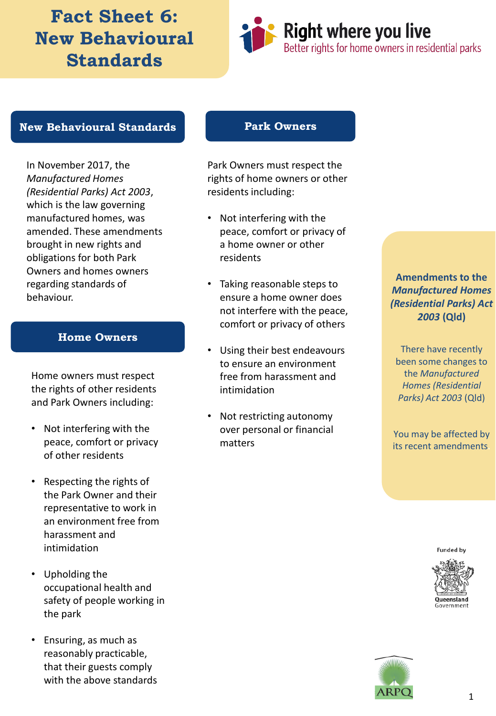# **Fact Sheet 6: New Behavioural Standards**



### **New Behavioural Standards**

In November 2017, the *Manufactured Homes (Residential Parks) Act 2003*, which is the law governing manufactured homes, was amended. These amendments brought in new rights and obligations for both Park Owners and homes owners regarding standards of behaviour.

#### **Home Owners**

Home owners must respect the rights of other residents and Park Owners including:

- Not interfering with the peace, comfort or privacy of other residents
- Respecting the rights of the Park Owner and their representative to work in an environment free from harassment and intimidation
- Upholding the occupational health and safety of people working in the park
- Ensuring, as much as reasonably practicable, that their guests comply with the above standards

#### **Park Owners**

Park Owners must respect the rights of home owners or other residents including:

- Not interfering with the peace, comfort or privacy of a home owner or other residents
- Taking reasonable steps to ensure a home owner does not interfere with the peace, comfort or privacy of others
- Using their best endeavours to ensure an environment free from harassment and intimidation
- Not restricting autonomy over personal or financial matters

### **Amendments to the**  *Manufactured Homes (Residential Parks) Act 2003* **(Qld)**

There have recently been some changes to the *Manufactured Homes (Residential Parks) Act 2003* (Qld)

You may be affected by its recent amendments.

**Funded by**